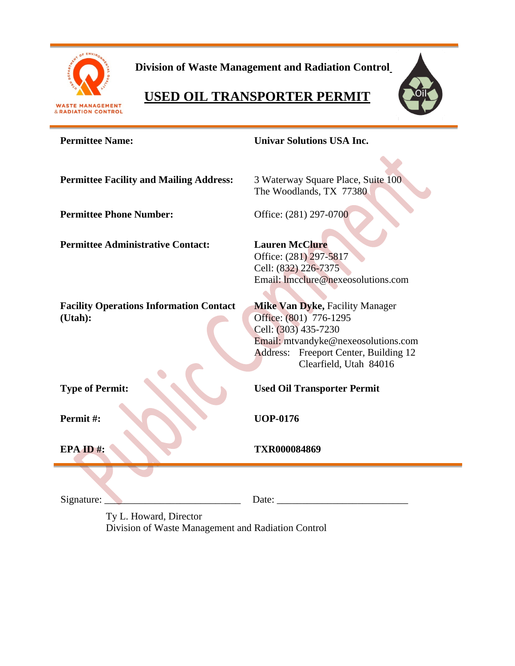

 **Division of Waste Management and Radiation Control**

# **USED OIL TRANSPORTER PERMIT**



| <b>Permittee Name:</b>                         | <b>Univar Solutions USA Inc.</b>                                |
|------------------------------------------------|-----------------------------------------------------------------|
|                                                |                                                                 |
| <b>Permittee Facility and Mailing Address:</b> | 3 Waterway Square Place, Suite 100<br>The Woodlands, TX 77380   |
| <b>Permittee Phone Number:</b>                 | Office: (281) 297-0700                                          |
| <b>Permittee Administrative Contact:</b>       | <b>Lauren McClure</b>                                           |
|                                                | Office: (281) 297-5817                                          |
|                                                | Cell: (832) 226-7375                                            |
|                                                | Email: Imcclure@nexeosolutions.com                              |
| <b>Facility Operations Information Contact</b> | <b>Mike Van Dyke, Facility Manager</b>                          |
| (Utah):                                        | Office: (801) 776-1295                                          |
|                                                | Cell: (303) 435-7230                                            |
|                                                | Email: mtvandyke@nexeosolutions.com                             |
|                                                | Address: Freeport Center, Building 12<br>Clearfield, Utah 84016 |
|                                                |                                                                 |
| <b>Type of Permit:</b>                         | <b>Used Oil Transporter Permit</b>                              |
| Permit#:                                       | <b>UOP-0176</b>                                                 |
| EPA ID#:                                       | <b>TXR000084869</b>                                             |
|                                                |                                                                 |
| Signature:                                     | Date:                                                           |
|                                                |                                                                 |

Ty L. Howard, Director Division of Waste Management and Radiation Control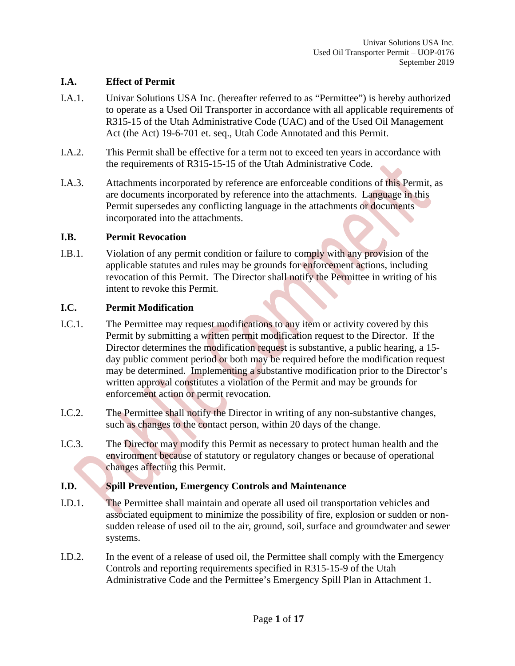#### **I.A. Effect of Permit**

- I.A.1. Univar Solutions USA Inc. (hereafter referred to as "Permittee") is hereby authorized to operate as a Used Oil Transporter in accordance with all applicable requirements of R315-15 of the Utah Administrative Code (UAC) and of the Used Oil Management Act (the Act) 19-6-701 et. seq., Utah Code Annotated and this Permit.
- I.A.2. This Permit shall be effective for a term not to exceed ten years in accordance with the requirements of R315-15-15 of the Utah Administrative Code.
- I.A.3. Attachments incorporated by reference are enforceable conditions of this Permit, as are documents incorporated by reference into the attachments. Language in this Permit supersedes any conflicting language in the attachments or documents incorporated into the attachments.

#### **I.B. Permit Revocation**

I.B.1. Violation of any permit condition or failure to comply with any provision of the applicable statutes and rules may be grounds for enforcement actions, including revocation of this Permit. The Director shall notify the Permittee in writing of his intent to revoke this Permit.

#### **I.C. Permit Modification**

- I.C.1. The Permittee may request modifications to any item or activity covered by this Permit by submitting a written permit modification request to the Director. If the Director determines the modification request is substantive, a public hearing, a 15day public comment period or both may be required before the modification request may be determined. Implementing a substantive modification prior to the Director's written approval constitutes a violation of the Permit and may be grounds for enforcement action or permit revocation.
- I.C.2. The Permittee shall notify the Director in writing of any non-substantive changes, such as changes to the contact person, within 20 days of the change.
- I.C.3. The Director may modify this Permit as necessary to protect human health and the environment because of statutory or regulatory changes or because of operational changes affecting this Permit.

## **I.D. Spill Prevention, Emergency Controls and Maintenance**

- I.D.1. The Permittee shall maintain and operate all used oil transportation vehicles and associated equipment to minimize the possibility of fire, explosion or sudden or nonsudden release of used oil to the air, ground, soil, surface and groundwater and sewer systems.
- I.D.2. In the event of a release of used oil, the Permittee shall comply with the Emergency Controls and reporting requirements specified in R315-15-9 of the Utah Administrative Code and the Permittee's Emergency Spill Plan in Attachment 1.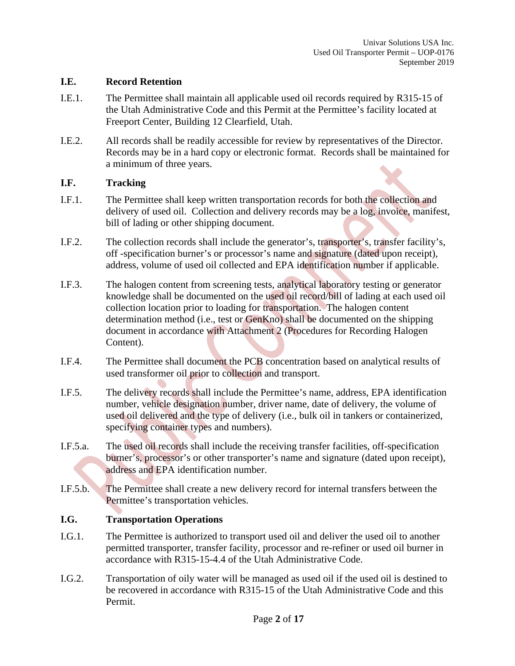#### **I.E. Record Retention**

- I.E.1. The Permittee shall maintain all applicable used oil records required by R315-15 of the Utah Administrative Code and this Permit at the Permittee's facility located at Freeport Center, Building 12 Clearfield, Utah.
- I.E.2. All records shall be readily accessible for review by representatives of the Director. Records may be in a hard copy or electronic format. Records shall be maintained for a minimum of three years.

## **I.F. Tracking**

- I.F.1. The Permittee shall keep written transportation records for both the collection and delivery of used oil. Collection and delivery records may be a log, invoice, manifest, bill of lading or other shipping document.
- I.F.2. The collection records shall include the generator's, transporter's, transfer facility's, off -specification burner's or processor's name and signature (dated upon receipt), address, volume of used oil collected and EPA identification number if applicable.
- I.F.3. The halogen content from screening tests, analytical laboratory testing or generator knowledge shall be documented on the used oil record/bill of lading at each used oil collection location prior to loading for transportation. The halogen content determination method (i.e., test or GenKno) shall be documented on the shipping document in accordance with Attachment 2 (Procedures for Recording Halogen Content).
- I.F.4. The Permittee shall document the PCB concentration based on analytical results of used transformer oil prior to collection and transport.
- I.F.5. The delivery records shall include the Permittee's name, address, EPA identification number, vehicle designation number, driver name, date of delivery, the volume of used oil delivered and the type of delivery (i.e., bulk oil in tankers or containerized, specifying container types and numbers).
- I.F.5.a. The used oil records shall include the receiving transfer facilities, off-specification burner's, processor's or other transporter's name and signature (dated upon receipt), address and EPA identification number.
- I.F.5.b. The Permittee shall create a new delivery record for internal transfers between the Permittee's transportation vehicles.

## **I.G. Transportation Operations**

- I.G.1. The Permittee is authorized to transport used oil and deliver the used oil to another permitted transporter, transfer facility, processor and re-refiner or used oil burner in accordance with R315-15-4.4 of the Utah Administrative Code.
- I.G.2. Transportation of oily water will be managed as used oil if the used oil is destined to be recovered in accordance with R315-15 of the Utah Administrative Code and this Permit.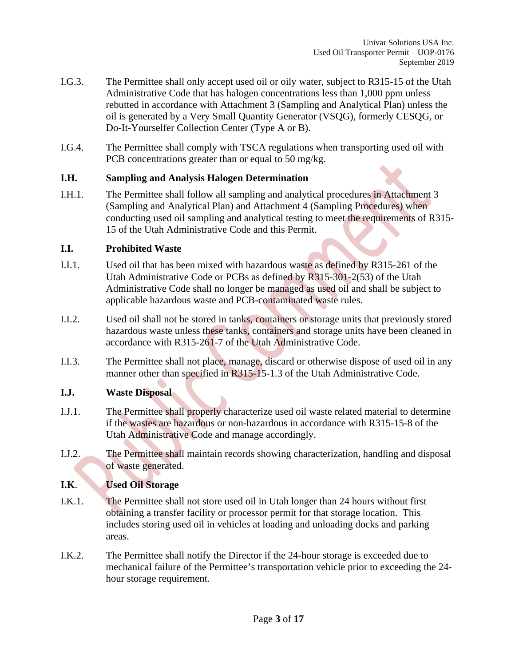- I.G.3. The Permittee shall only accept used oil or oily water, subject to R315-15 of the Utah Administrative Code that has halogen concentrations less than 1,000 ppm unless rebutted in accordance with Attachment 3 (Sampling and Analytical Plan) unless the oil is generated by a Very Small Quantity Generator (VSQG), formerly CESQG, or Do-It-Yourselfer Collection Center (Type A or B).
- I.G.4. The Permittee shall comply with TSCA regulations when transporting used oil with PCB concentrations greater than or equal to 50 mg/kg.

#### **I.H. Sampling and Analysis Halogen Determination**

I.H.1. The Permittee shall follow all sampling and analytical procedures in Attachment 3 (Sampling and Analytical Plan) and Attachment 4 (Sampling Procedures) when conducting used oil sampling and analytical testing to meet the requirements of R315- 15 of the Utah Administrative Code and this Permit.

#### **I.I. Prohibited Waste**

- I.I.1. Used oil that has been mixed with hazardous waste as defined by R315-261 of the Utah Administrative Code or PCBs as defined by R315-301-2(53) of the Utah Administrative Code shall no longer be managed as used oil and shall be subject to applicable hazardous waste and PCB-contaminated waste rules.
- I.I.2. Used oil shall not be stored in tanks, containers or storage units that previously stored hazardous waste unless these tanks, containers and storage units have been cleaned in accordance with R315-261-7 of the Utah Administrative Code.
- I.I.3. The Permittee shall not place, manage, discard or otherwise dispose of used oil in any manner other than specified in R315-15-1.3 of the Utah Administrative Code.

## **I.J. Waste Disposal**

- I.J.1. The Permittee shall properly characterize used oil waste related material to determine if the wastes are hazardous or non-hazardous in accordance with R315-15-8 of the Utah Administrative Code and manage accordingly.
- I.J.2. The Permittee shall maintain records showing characterization, handling and disposal of waste generated.

## **I.K**. **Used Oil Storage**

- I.K.1. The Permittee shall not store used oil in Utah longer than 24 hours without first obtaining a transfer facility or processor permit for that storage location. This includes storing used oil in vehicles at loading and unloading docks and parking areas.
- I.K.2. The Permittee shall notify the Director if the 24-hour storage is exceeded due to mechanical failure of the Permittee's transportation vehicle prior to exceeding the 24 hour storage requirement.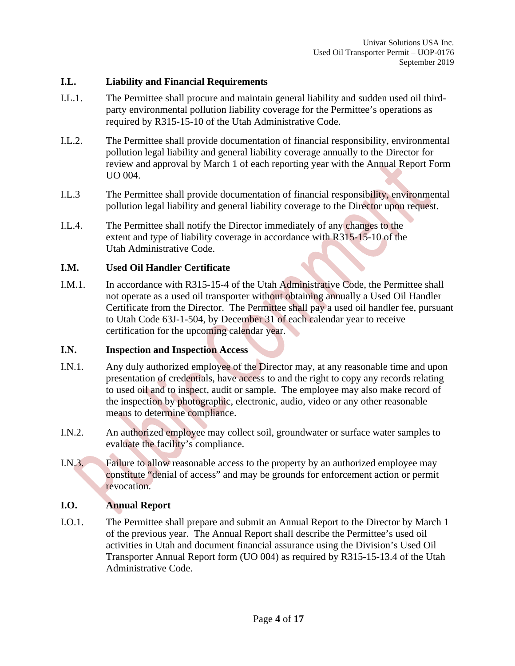#### **I.L. Liability and Financial Requirements**

- I.L.1. The Permittee shall procure and maintain general liability and sudden used oil thirdparty environmental pollution liability coverage for the Permittee's operations as required by R315-15-10 of the Utah Administrative Code.
- I.L.2. The Permittee shall provide documentation of financial responsibility, environmental pollution legal liability and general liability coverage annually to the Director for review and approval by March 1 of each reporting year with the Annual Report Form UO 004.
- I.L.3 The Permittee shall provide documentation of financial responsibility, environmental pollution legal liability and general liability coverage to the Director upon request.
- I.L.4. The Permittee shall notify the Director immediately of any changes to the extent and type of liability coverage in accordance with R315-15-10 of the Utah Administrative Code.

## **I.M. Used Oil Handler Certificate**

I.M.1. In accordance with R315-15-4 of the Utah Administrative Code, the Permittee shall not operate as a used oil transporter without obtaining annually a Used Oil Handler Certificate from the Director. The Permittee shall pay a used oil handler fee, pursuant to Utah Code 63J-1-504, by December 31 of each calendar year to receive certification for the upcoming calendar year.

#### **I.N. Inspection and Inspection Access**

- I.N.1. Any duly authorized employee of the Director may, at any reasonable time and upon presentation of credentials, have access to and the right to copy any records relating to used oil and to inspect, audit or sample. The employee may also make record of the inspection by photographic, electronic, audio, video or any other reasonable means to determine compliance.
- I.N.2. An authorized employee may collect soil, groundwater or surface water samples to evaluate the facility's compliance.
- I.N.3. Failure to allow reasonable access to the property by an authorized employee may constitute "denial of access" and may be grounds for enforcement action or permit revocation.

## **I.O. Annual Report**

I.O.1. The Permittee shall prepare and submit an Annual Report to the Director by March 1 of the previous year. The Annual Report shall describe the Permittee's used oil activities in Utah and document financial assurance using the Division's Used Oil Transporter Annual Report form (UO 004) as required by R315-15-13.4 of the Utah Administrative Code.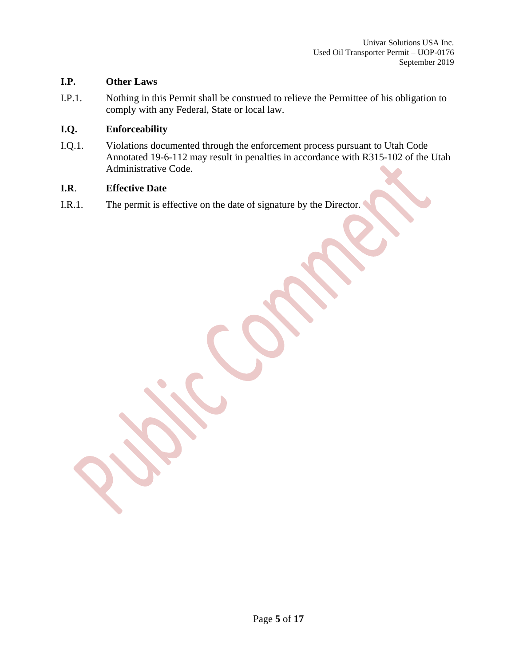#### **I.P. Other Laws**

I.P.1. Nothing in this Permit shall be construed to relieve the Permittee of his obligation to comply with any Federal, State or local law.

## **I.Q. Enforceability**

I.Q.1. Violations documented through the enforcement process pursuant to Utah Code Annotated 19-6-112 may result in penalties in accordance with R315-102 of the Utah Administrative Code.

#### **I.R**. **Effective Date**

I.R.1. The permit is effective on the date of signature by the Director.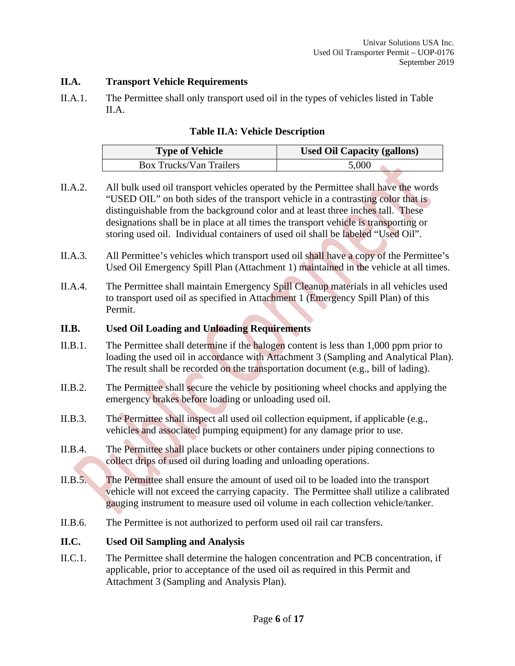#### **II.A. Transport Vehicle Requirements**

II.A.1. The Permittee shall only transport used oil in the types of vehicles listed in Table II.A.

## **Table II.A: Vehicle Description**

| <b>Type of Vehicle</b>         | <b>Used Oil Capacity (gallons)</b> |
|--------------------------------|------------------------------------|
| <b>Box Trucks/Van Trailers</b> | 5,000                              |

- II.A.2. All bulk used oil transport vehicles operated by the Permittee shall have the words "USED OIL" on both sides of the transport vehicle in a contrasting color that is distinguishable from the background color and at least three inches tall. These designations shall be in place at all times the transport vehicle is transporting or storing used oil. Individual containers of used oil shall be labeled "Used Oil".
- II.A.3. All Permittee's vehicles which transport used oil shall have a copy of the Permittee's Used Oil Emergency Spill Plan (Attachment 1) maintained in the vehicle at all times.
- II.A.4. The Permittee shall maintain Emergency Spill Cleanup materials in all vehicles used to transport used oil as specified in Attachment 1 (Emergency Spill Plan) of this Permit.

#### **II.B. Used Oil Loading and Unloading Requirements**

- II.B.1. The Permittee shall determine if the halogen content is less than 1,000 ppm prior to loading the used oil in accordance with Attachment 3 (Sampling and Analytical Plan). The result shall be recorded on the transportation document (e.g., bill of lading).
- II.B.2. The Permittee shall secure the vehicle by positioning wheel chocks and applying the emergency brakes before loading or unloading used oil.
- II.B.3. The Permittee shall inspect all used oil collection equipment, if applicable (e.g., vehicles and associated pumping equipment) for any damage prior to use.
- II.B.4. The Permittee shall place buckets or other containers under piping connections to collect drips of used oil during loading and unloading operations.
- II.B.5. The Permittee shall ensure the amount of used oil to be loaded into the transport vehicle will not exceed the carrying capacity. The Permittee shall utilize a calibrated gauging instrument to measure used oil volume in each collection vehicle/tanker.
- II.B.6. The Permittee is not authorized to perform used oil rail car transfers.

#### **II.C. Used Oil Sampling and Analysis**

II.C.1. The Permittee shall determine the halogen concentration and PCB concentration, if applicable, prior to acceptance of the used oil as required in this Permit and Attachment 3 (Sampling and Analysis Plan).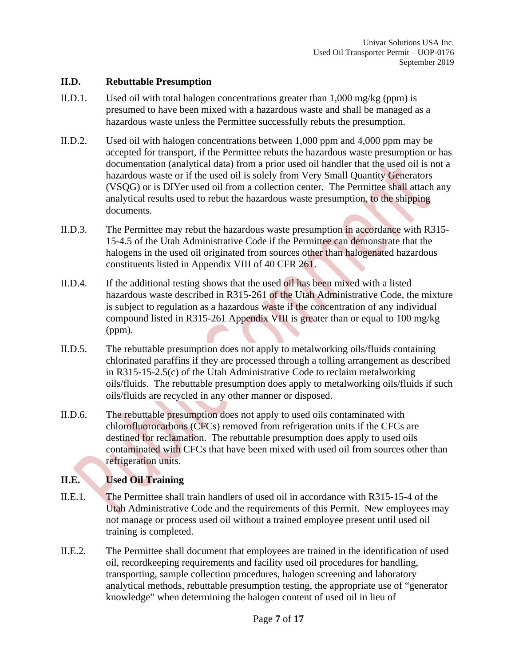#### **II.D. Rebuttable Presumption**

- II.D.1. Used oil with total halogen concentrations greater than 1,000 mg/kg (ppm) is presumed to have been mixed with a hazardous waste and shall be managed as a hazardous waste unless the Permittee successfully rebuts the presumption.
- II.D.2. Used oil with halogen concentrations between 1,000 ppm and 4,000 ppm may be accepted for transport, if the Permittee rebuts the hazardous waste presumption or has documentation (analytical data) from a prior used oil handler that the used oil is not a hazardous waste or if the used oil is solely from Very Small Quantity Generators (VSQG) or is DIYer used oil from a collection center. The Permittee shall attach any analytical results used to rebut the hazardous waste presumption, to the shipping documents.
- II.D.3. The Permittee may rebut the hazardous waste presumption in accordance with R315- 15-4.5 of the Utah Administrative Code if the Permittee can demonstrate that the halogens in the used oil originated from sources other than halogenated hazardous constituents listed in Appendix VIII of 40 CFR 261.
- II.D.4. If the additional testing shows that the used oil has been mixed with a listed hazardous waste described in R315-261 of the Utah Administrative Code, the mixture is subject to regulation as a hazardous waste if the concentration of any individual compound listed in R315-261 Appendix VIII is greater than or equal to 100 mg/kg (ppm).
- II.D.5. The rebuttable presumption does not apply to metalworking oils/fluids containing chlorinated paraffins if they are processed through a tolling arrangement as described in R315-15-2.5(c) of the Utah Administrative Code to reclaim metalworking oils/fluids. The rebuttable presumption does apply to metalworking oils/fluids if such oils/fluids are recycled in any other manner or disposed.
- II.D.6. The rebuttable presumption does not apply to used oils contaminated with chlorofluorocarbons (CFCs) removed from refrigeration units if the CFCs are destined for reclamation. The rebuttable presumption does apply to used oils contaminated with CFCs that have been mixed with used oil from sources other than refrigeration units.

# **II.E. Used Oil Training**

- II.E.1. The Permittee shall train handlers of used oil in accordance with R315-15-4 of the Utah Administrative Code and the requirements of this Permit. New employees may not manage or process used oil without a trained employee present until used oil training is completed.
- II.E.2. The Permittee shall document that employees are trained in the identification of used oil, recordkeeping requirements and facility used oil procedures for handling, transporting, sample collection procedures, halogen screening and laboratory analytical methods, rebuttable presumption testing, the appropriate use of "generator knowledge" when determining the halogen content of used oil in lieu of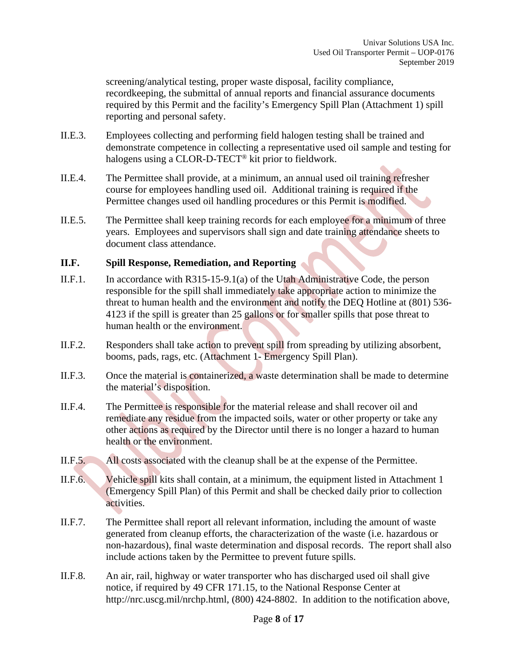screening/analytical testing, proper waste disposal, facility compliance, recordkeeping, the submittal of annual reports and financial assurance documents required by this Permit and the facility's Emergency Spill Plan (Attachment 1) spill reporting and personal safety.

- II.E.3. Employees collecting and performing field halogen testing shall be trained and demonstrate competence in collecting a representative used oil sample and testing for halogens using a CLOR-D-TECT® kit prior to fieldwork.
- II.E.4. The Permittee shall provide, at a minimum, an annual used oil training refresher course for employees handling used oil. Additional training is required if the Permittee changes used oil handling procedures or this Permit is modified.
- II.E.5. The Permittee shall keep training records for each employee for a minimum of three years. Employees and supervisors shall sign and date training attendance sheets to document class attendance.

#### **II.F. Spill Response, Remediation, and Reporting**

- II.F.1. In accordance with R315-15-9.1(a) of the Utah Administrative Code, the person responsible for the spill shall immediately take appropriate action to minimize the threat to human health and the environment and notify the DEQ Hotline at (801) 536- 4123 if the spill is greater than 25 gallons or for smaller spills that pose threat to human health or the environment.
- II.F.2. Responders shall take action to prevent spill from spreading by utilizing absorbent, booms, pads, rags, etc. (Attachment 1- Emergency Spill Plan).
- II.F.3. Once the material is containerized, a waste determination shall be made to determine the material's disposition.
- II.F.4. The Permittee is responsible for the material release and shall recover oil and remediate any residue from the impacted soils, water or other property or take any other actions as required by the Director until there is no longer a hazard to human health or the environment.
- II.F.5. All costs associated with the cleanup shall be at the expense of the Permittee.
- II.F.6. Vehicle spill kits shall contain, at a minimum, the equipment listed in Attachment 1 (Emergency Spill Plan) of this Permit and shall be checked daily prior to collection activities.
- II.F.7. The Permittee shall report all relevant information, including the amount of waste generated from cleanup efforts, the characterization of the waste (i.e. hazardous or non-hazardous), final waste determination and disposal records. The report shall also include actions taken by the Permittee to prevent future spills.
- II.F.8. An air, rail, highway or water transporter who has discharged used oil shall give notice, if required by 49 CFR 171.15, to the National Response Center at http://nrc.uscg.mil/nrchp.html, (800) 424-8802. In addition to the notification above,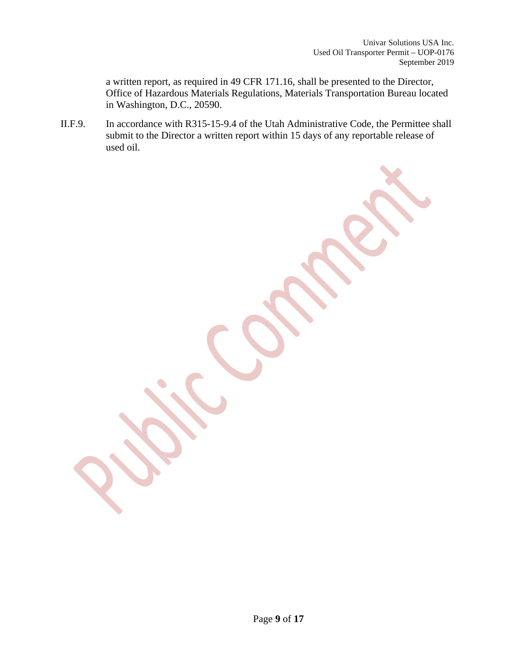a written report, as required in 49 CFR 171.16, shall be presented to the Director, Office of Hazardous Materials Regulations, Materials Transportation Bureau located in Washington, D.C., 20590.

II.F.9. In accordance with R315-15-9.4 of the Utah Administrative Code, the Permittee shall submit to the Director a written report within 15 days of any reportable release of used oil.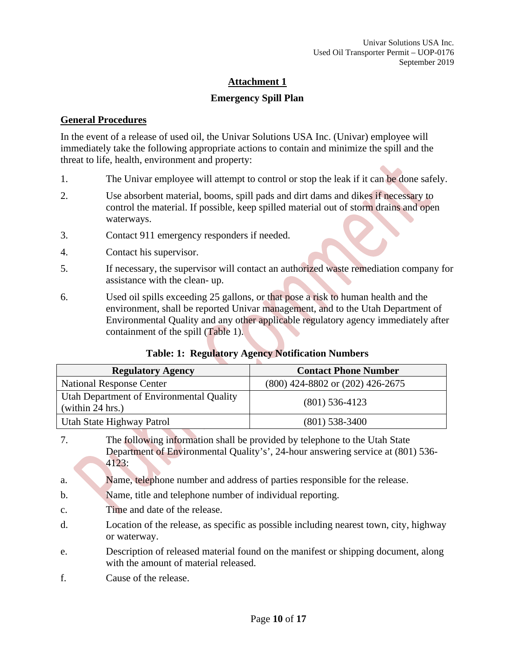# **Attachment 1**

## **Emergency Spill Plan**

## **General Procedures**

In the event of a release of used oil, the Univar Solutions USA Inc. (Univar) employee will immediately take the following appropriate actions to contain and minimize the spill and the threat to life, health, environment and property:

- 1. The Univar employee will attempt to control or stop the leak if it can be done safely.
- 2. Use absorbent material, booms, spill pads and dirt dams and dikes if necessary to control the material. If possible, keep spilled material out of storm drains and open waterways.
- 3. Contact 911 emergency responders if needed.
- 4. Contact his supervisor.
- 5. If necessary, the supervisor will contact an authorized waste remediation company for assistance with the clean- up.
- 6. Used oil spills exceeding 25 gallons, or that pose a risk to human health and the environment, shall be reported Univar management, and to the Utah Department of Environmental Quality and any other applicable regulatory agency immediately after containment of the spill (Table 1).

# **Table: 1: Regulatory Agency Notification Numbers**

| <b>Regulatory Agency</b>                                     | <b>Contact Phone Number</b>          |
|--------------------------------------------------------------|--------------------------------------|
| <b>National Response Center</b>                              | $(800)$ 424-8802 or $(202)$ 426-2675 |
| Utah Department of Environmental Quality<br>(within 24 hrs.) | $(801)$ 536-4123                     |
| Utah State Highway Patrol                                    | $(801)$ 538-3400                     |

- 7. The following information shall be provided by telephone to the Utah State Department of Environmental Quality's', 24-hour answering service at (801) 536- 4123:
- a. Name, telephone number and address of parties responsible for the release.
- b. Name, title and telephone number of individual reporting.
- c. Time and date of the release.
- d. Location of the release, as specific as possible including nearest town, city, highway or waterway.
- e. Description of released material found on the manifest or shipping document, along with the amount of material released.
- f. Cause of the release.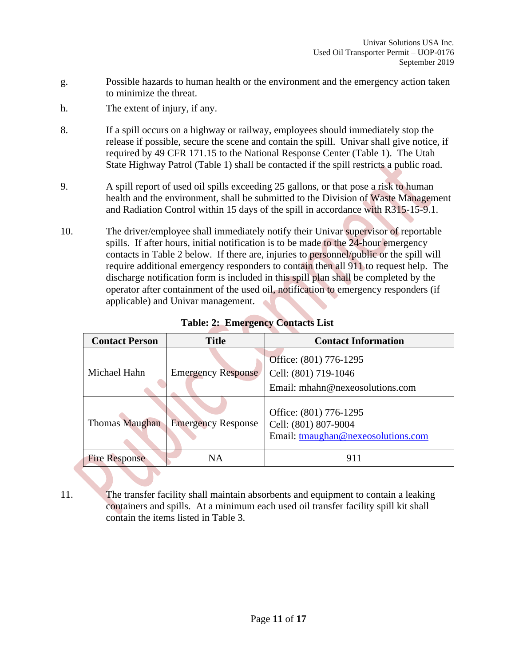- g. Possible hazards to human health or the environment and the emergency action taken to minimize the threat.
- h. The extent of injury, if any.
- 8. If a spill occurs on a highway or railway, employees should immediately stop the release if possible, secure the scene and contain the spill. Univar shall give notice, if required by 49 CFR 171.15 to the National Response Center (Table 1). The Utah State Highway Patrol (Table 1) shall be contacted if the spill restricts a public road.
- 9. A spill report of used oil spills exceeding 25 gallons, or that pose a risk to human health and the environment, shall be submitted to the Division of Waste Management and Radiation Control within 15 days of the spill in accordance with R315-15-9.1.
- 10. The driver/employee shall immediately notify their Univar supervisor of reportable spills. If after hours, initial notification is to be made to the 24-hour emergency contacts in Table 2 below. If there are, injuries to personnel/public or the spill will require additional emergency responders to contain then all 911 to request help. The discharge notification form is included in this spill plan shall be completed by the operator after containment of the used oil, notification to emergency responders (if applicable) and Univar management.

| <b>Contact Person</b> | <b>Title</b>              | <b>Contact Information</b>                                                           |
|-----------------------|---------------------------|--------------------------------------------------------------------------------------|
|                       |                           | Office: (801) 776-1295                                                               |
| Michael Hahn          | <b>Emergency Response</b> | Cell: (801) 719-1046                                                                 |
|                       |                           | Email: mhahn@nexeosolutions.com                                                      |
| Thomas Maughan        | <b>Emergency Response</b> | Office: (801) 776-1295<br>Cell: (801) 807-9004<br>Email: tmaughan@nexeosolutions.com |
| <b>Fire Response</b>  | NA                        | 911                                                                                  |

**Table: 2: Emergency Contacts List**

11. The transfer facility shall maintain absorbents and equipment to contain a leaking containers and spills. At a minimum each used oil transfer facility spill kit shall contain the items listed in Table 3.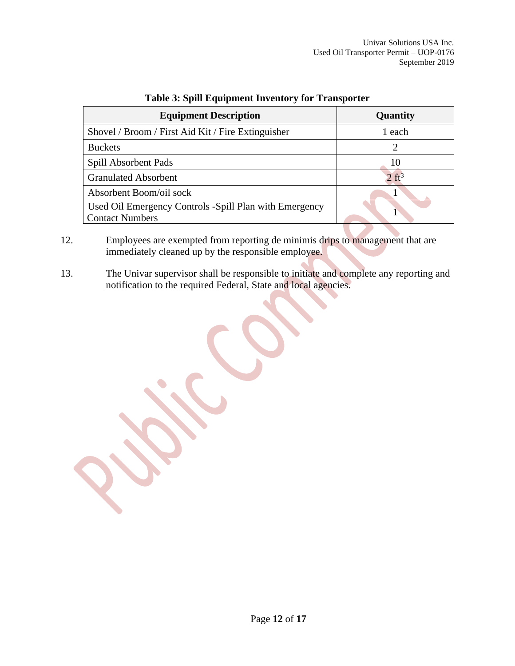Univar Solutions USA Inc. Used Oil Transporter Permit – UOP-0176 September 2019

| <b>Equipment Description</b>                                                     | Quantity         |  |
|----------------------------------------------------------------------------------|------------------|--|
| Shovel / Broom / First Aid Kit / Fire Extinguisher                               | 1 each           |  |
| <b>Buckets</b>                                                                   | 2                |  |
| Spill Absorbent Pads                                                             | 10               |  |
| <b>Granulated Absorbent</b>                                                      | $2 \text{ ft}^3$ |  |
| Absorbent Boom/oil sock                                                          |                  |  |
| Used Oil Emergency Controls -Spill Plan with Emergency<br><b>Contact Numbers</b> |                  |  |

# **Table 3: Spill Equipment Inventory for Transporter**

- 12. Employees are exempted from reporting de minimis drips to management that are immediately cleaned up by the responsible employee.
- 13. The Univar supervisor shall be responsible to initiate and complete any reporting and notification to the required Federal, State and local agencies.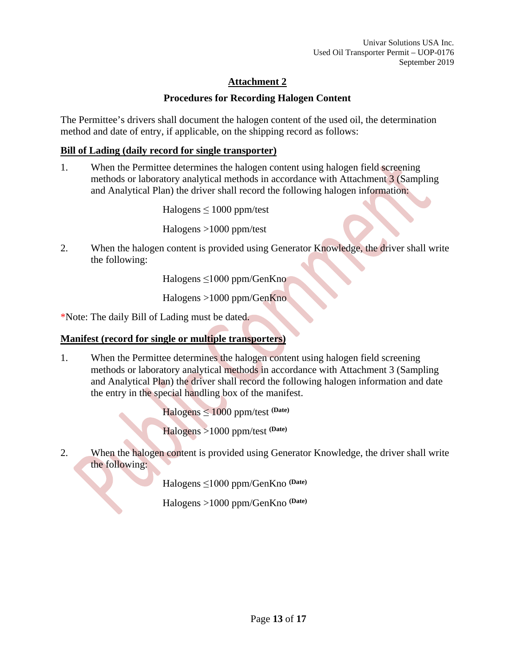# **Attachment 2**

## **Procedures for Recording Halogen Content**

The Permittee's drivers shall document the halogen content of the used oil, the determination method and date of entry, if applicable, on the shipping record as follows:

## **Bill of Lading (daily record for single transporter)**

1. When the Permittee determines the halogen content using halogen field screening methods or laboratory analytical methods in accordance with Attachment 3 (Sampling and Analytical Plan) the driver shall record the following halogen information:

Halogens  $\leq 1000$  ppm/test

Halogens >1000 ppm/test

2. When the halogen content is provided using Generator Knowledge, the driver shall write the following:

Halogens ≤1000 ppm/GenKno

Halogens >1000 ppm/GenKno

\*Note: The daily Bill of Lading must be dated.

# **Manifest (record for single or multiple transporters)**

1. When the Permittee determines the halogen content using halogen field screening methods or laboratory analytical methods in accordance with Attachment 3 (Sampling and Analytical Plan) the driver shall record the following halogen information and date the entry in the special handling box of the manifest.

Halogens ≤ 1000 ppm/test **(Date)**

Halogens >1000 ppm/test **(Date)**

2. When the halogen content is provided using Generator Knowledge, the driver shall write the following:

Halogens ≤1000 ppm/GenKno **(Date)**

Halogens >1000 ppm/GenKno **(Date)**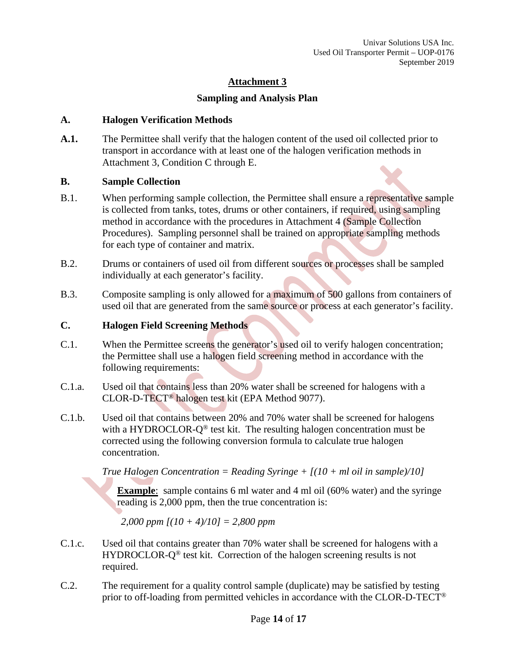# **Attachment 3**

## **Sampling and Analysis Plan**

## **A. Halogen Verification Methods**

**A.1.** The Permittee shall verify that the halogen content of the used oil collected prior to transport in accordance with at least one of the halogen verification methods in Attachment 3, Condition C through E.

# **B. Sample Collection**

- B.1. When performing sample collection, the Permittee shall ensure a representative sample is collected from tanks, totes, drums or other containers, if required, using sampling method in accordance with the procedures in Attachment 4 (Sample Collection Procedures). Sampling personnel shall be trained on appropriate sampling methods for each type of container and matrix.
- B.2. Drums or containers of used oil from different sources or processes shall be sampled individually at each generator's facility.
- B.3. Composite sampling is only allowed for a maximum of 500 gallons from containers of used oil that are generated from the same source or process at each generator's facility.

# **C. Halogen Field Screening Methods**

- C.1. When the Permittee screens the generator's used oil to verify halogen concentration; the Permittee shall use a halogen field screening method in accordance with the following requirements:
- C.1.a. Used oil that contains less than 20% water shall be screened for halogens with a CLOR-D-TECT® halogen test kit (EPA Method 9077).
- C.1.b. Used oil that contains between 20% and 70% water shall be screened for halogens with a HYDROCLOR- $Q^{\circledast}$  test kit. The resulting halogen concentration must be corrected using the following conversion formula to calculate true halogen concentration.

*True Halogen Concentration = Reading Syringe + [(10 + ml oil in sample)/10]*

**Example**: sample contains 6 ml water and 4 ml oil (60% water) and the syringe reading is 2,000 ppm, then the true concentration is:

*2,000 ppm [(10 + 4)/10] = 2,800 ppm*

- C.1.c. Used oil that contains greater than 70% water shall be screened for halogens with a HYDROCLOR- $Q^{\circledast}$  test kit. Correction of the halogen screening results is not required.
- C.2. The requirement for a quality control sample (duplicate) may be satisfied by testing prior to off-loading from permitted vehicles in accordance with the CLOR-D-TECT®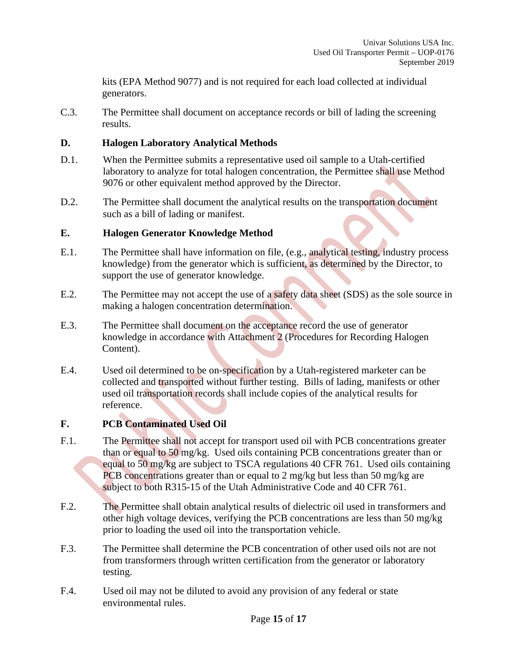kits (EPA Method 9077) and is not required for each load collected at individual generators.

C.3. The Permittee shall document on acceptance records or bill of lading the screening results.

## **D. Halogen Laboratory Analytical Methods**

- D.1. When the Permittee submits a representative used oil sample to a Utah-certified laboratory to analyze for total halogen concentration, the Permittee shall use Method 9076 or other equivalent method approved by the Director.
- D.2. The Permittee shall document the analytical results on the transportation document such as a bill of lading or manifest.

## **E. Halogen Generator Knowledge Method**

- E.1. The Permittee shall have information on file, (e.g., analytical testing, industry process knowledge) from the generator which is sufficient, as determined by the Director, to support the use of generator knowledge.
- E.2. The Permittee may not accept the use of a safety data sheet (SDS) as the sole source in making a halogen concentration determination.
- E.3. The Permittee shall document on the acceptance record the use of generator knowledge in accordance with Attachment 2 (Procedures for Recording Halogen Content).
- E.4. Used oil determined to be on-specification by a Utah-registered marketer can be collected and transported without further testing. Bills of lading, manifests or other used oil transportation records shall include copies of the analytical results for reference.

# **F. PCB Contaminated Used Oil**

- F.1. The Permittee shall not accept for transport used oil with PCB concentrations greater than or equal to 50 mg/kg. Used oils containing PCB concentrations greater than or equal to 50 mg/kg are subject to TSCA regulations 40 CFR 761. Used oils containing PCB concentrations greater than or equal to 2 mg/kg but less than 50 mg/kg are subject to both R315-15 of the Utah Administrative Code and 40 CFR 761.
- F.2. The Permittee shall obtain analytical results of dielectric oil used in transformers and other high voltage devices, verifying the PCB concentrations are less than 50 mg/kg prior to loading the used oil into the transportation vehicle.
- F.3. The Permittee shall determine the PCB concentration of other used oils not are not from transformers through written certification from the generator or laboratory testing.
- F.4. Used oil may not be diluted to avoid any provision of any federal or state environmental rules.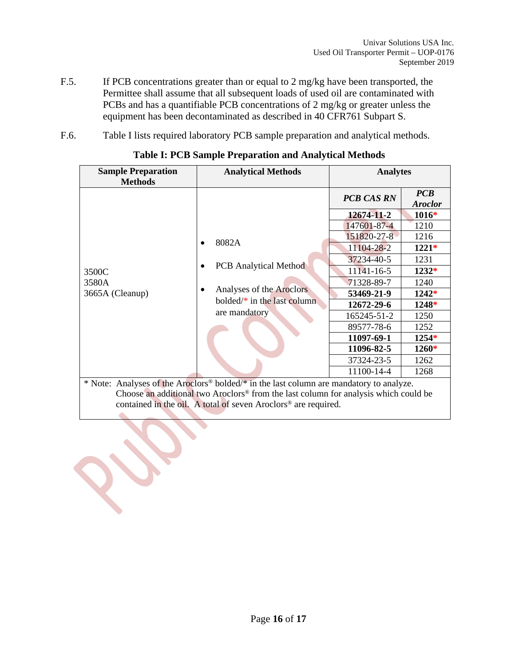- F.5. If PCB concentrations greater than or equal to 2 mg/kg have been transported, the Permittee shall assume that all subsequent loads of used oil are contaminated with PCBs and has a quantifiable PCB concentrations of 2 mg/kg or greater unless the equipment has been decontaminated as described in 40 CFR761 Subpart S.
- F.6. Table I lists required laboratory PCB sample preparation and analytical methods.

| <b>Sample Preparation</b><br><b>Methods</b>                                                     | <b>Analytical Methods</b>                                                                                            | <b>Analytes</b>   |                              |
|-------------------------------------------------------------------------------------------------|----------------------------------------------------------------------------------------------------------------------|-------------------|------------------------------|
|                                                                                                 | 8082A<br><b>PCB</b> Analytical Method<br>Analyses of the Aroclors<br>bolded/ $*$ in the last column<br>are mandatory | <b>PCB CAS RN</b> | <b>PCB</b><br><b>Aroclor</b> |
|                                                                                                 |                                                                                                                      | 12674-11-2        | 1016*                        |
|                                                                                                 |                                                                                                                      | 147601-87-4       | 1210                         |
|                                                                                                 |                                                                                                                      | 151820-27-8       | 1216                         |
| 3500C                                                                                           |                                                                                                                      | 11104-28-2        | $1221*$                      |
|                                                                                                 |                                                                                                                      | 37234-40-5        | 1231                         |
|                                                                                                 |                                                                                                                      | 11141-16-5        | $1232*$                      |
| 3580A                                                                                           |                                                                                                                      | 71328-89-7        | 1240                         |
| 3665A (Cleanup)                                                                                 |                                                                                                                      | 53469-21-9        | $1242*$                      |
|                                                                                                 |                                                                                                                      | 12672-29-6        | 1248*                        |
|                                                                                                 |                                                                                                                      | 165245-51-2       | 1250                         |
|                                                                                                 |                                                                                                                      | 89577-78-6        | 1252                         |
|                                                                                                 |                                                                                                                      | 11097-69-1        | 1254*                        |
|                                                                                                 |                                                                                                                      | 11096-82-5        | 1260*                        |
|                                                                                                 |                                                                                                                      | 37324-23-5        | 1262                         |
|                                                                                                 |                                                                                                                      | 11100-14-4        | 1268                         |
|                                                                                                 | * Note: Analyses of the Aroclors <sup>®</sup> bolded/* in the last column are mandatory to analyze.                  |                   |                              |
| Choose an additional two Aroclors <sup>®</sup> from the last column for analysis which could be |                                                                                                                      |                   |                              |

|  |  | Table I: PCB Sample Preparation and Analytical Methods |
|--|--|--------------------------------------------------------|
|--|--|--------------------------------------------------------|

 Choose an additional two Aroclors® from the last column for analysis which could be contained in the oil. A total of seven Aroclors<sup>®</sup> are required.